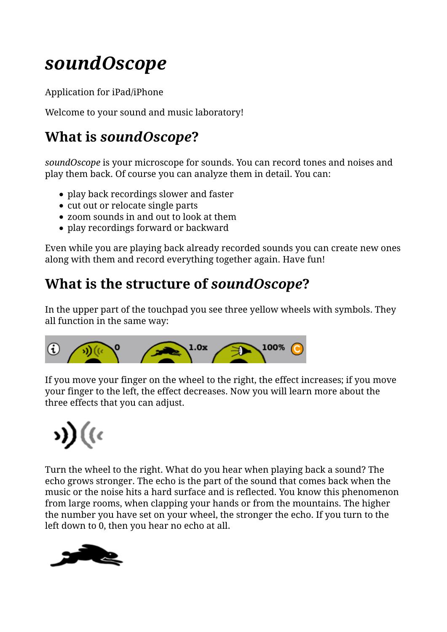## *soundOscope*

Application for iPad/iPhone

Welcome to your sound and music laboratory!

## **What is** *soundOscope***?**

*soundOscope* is your microscope for sounds. You can record tones and noises and play them back. Of course you can analyze them in detail. You can:

- play back recordings slower and faster
- cut out or relocate single parts
- zoom sounds in and out to look at them
- play recordings forward or backward

Even while you are playing back already recorded sounds you can create new ones along with them and record everything together again. Have fun!

## **What is the structure of** *soundOscope***?**

In the upper part of the touchpad you see three yellow wheels with symbols. They all function in the same way:



If you move your finger on the wheel to the right, the effect increases; if you move your finger to the left, the effect decreases. Now you will learn more about the three effects that you can adjust.

# s)) ((c

Turn the wheel to the right. What do you hear when playing back a sound? The echo grows stronger. The echo is the part of the sound that comes back when the music or the noise hits a hard surface and is reflected. You know this phenomenon from large rooms, when clapping your hands or from the mountains. The higher the number you have set on your wheel, the stronger the echo. If you turn to the left down to 0, then you hear no echo at all.

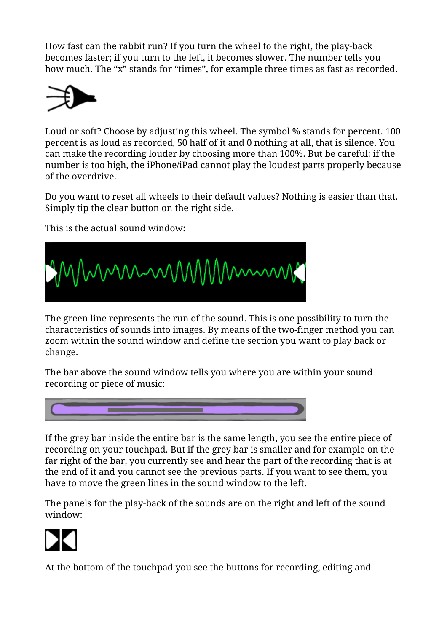How fast can the rabbit run? If you turn the wheel to the right, the play-back becomes faster; if you turn to the left, it becomes slower. The number tells you how much. The "x" stands for "times", for example three times as fast as recorded.



Loud or soft? Choose by adjusting this wheel. The symbol % stands for percent. 100 percent is as loud as recorded, 50 half of it and 0 nothing at all, that is silence. You can make the recording louder by choosing more than 100%. But be careful: if the number is too high, the iPhone/iPad cannot play the loudest parts properly because of the overdrive.

Do you want to reset all wheels to their default values? Nothing is easier than that. Simply tip the clear button on the right side.

This is the actual sound window:



The green line represents the run of the sound. This is one possibility to turn the characteristics of sounds into images. By means of the two-finger method you can zoom within the sound window and define the section you want to play back or change.

The bar above the sound window tells you where you are within your sound recording or piece of music:



If the grey bar inside the entire bar is the same length, you see the entire piece of recording on your touchpad. But if the grey bar is smaller and for example on the far right of the bar, you currently see and hear the part of the recording that is at the end of it and you cannot see the previous parts. If you want to see them, you have to move the green lines in the sound window to the left.

The panels for the play-back of the sounds are on the right and left of the sound window:



At the bottom of the touchpad you see the buttons for recording, editing and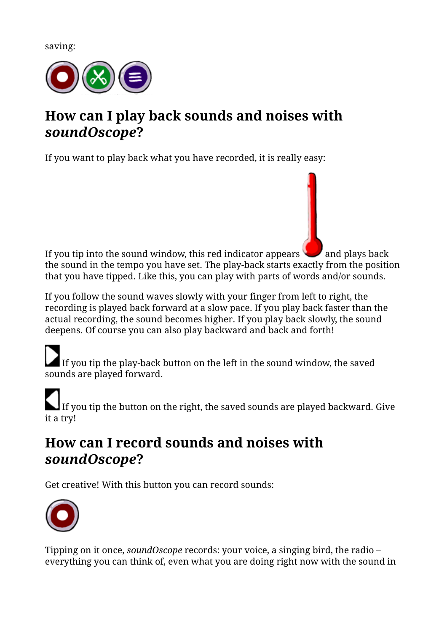saving:



## **How can I play back sounds and noises with** *soundOscope***?**

If you want to play back what you have recorded, it is really easy:

If you tip into the sound window, this red indicator appears  $\Box$  and plays back the sound in the tempo you have set. The play-back starts exactly from the position that you have tipped. Like this, you can play with parts of words and/or sounds.

If you follow the sound waves slowly with your finger from left to right, the recording is played back forward at a slow pace. If you play back faster than the actual recording, the sound becomes higher. If you play back slowly, the sound deepens. Of course you can also play backward and back and forth!

If you tip the play-back button on the left in the sound window, the saved sounds are played forward.

If you tip the button on the right, the saved sounds are played backward. Give it a try!

## **How can I record sounds and noises with** *soundOscope***?**

Get creative! With this button you can record sounds:



Tipping on it once, *soundOscope* records: your voice, a singing bird, the radio – everything you can think of, even what you are doing right now with the sound in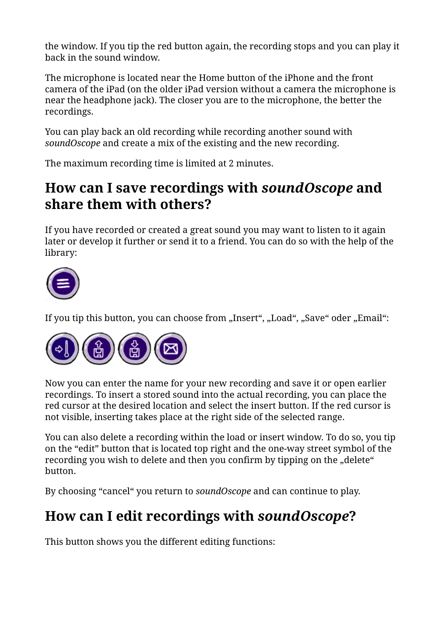the window. If you tip the red button again, the recording stops and you can play it back in the sound window.

The microphone is located near the Home button of the iPhone and the front camera of the iPad (on the older iPad version without a camera the microphone is near the headphone jack). The closer you are to the microphone, the better the recordings.

You can play back an old recording while recording another sound with *soundOscope* and create a mix of the existing and the new recording.

The maximum recording time is limited at 2 minutes.

## **How can I save recordings with** *soundOscope* **and share them with others?**

If you have recorded or created a great sound you may want to listen to it again later or develop it further or send it to a friend. You can do so with the help of the library:



If you tip this button, you can choose from "Insert", "Load", "Save" oder "Email":



Now you can enter the name for your new recording and save it or open earlier recordings. To insert a stored sound into the actual recording, you can place the red cursor at the desired location and select the insert button. If the red cursor is not visible, inserting takes place at the right side of the selected range.

You can also delete a recording within the load or insert window. To do so, you tip on the "edit" button that is located top right and the one-way street symbol of the recording you wish to delete and then you confirm by tipping on the "delete" button.

By choosing "cancel" you return to *soundOscope* and can continue to play.

## **How can I edit recordings with** *soundOscope***?**

This button shows you the different editing functions: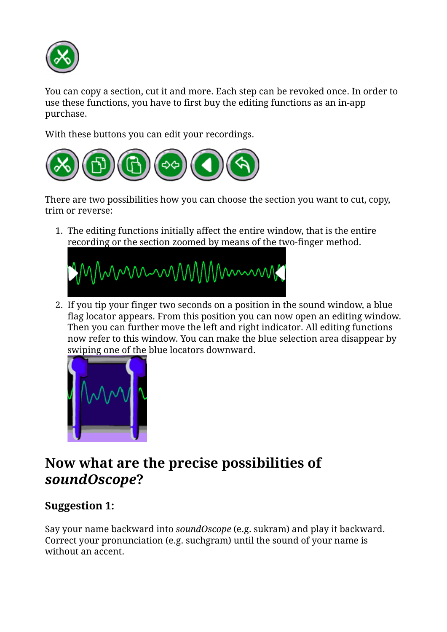

You can copy a section, cut it and more. Each step can be revoked once. In order to use these functions, you have to first buy the editing functions as an in-app purchase.

With these buttons you can edit your recordings.



There are two possibilities how you can choose the section you want to cut, copy, trim or reverse:

The editing functions initially affect the entire window, that is the entire 1. recording or the section zoomed by means of the two-finger method.



If you tip your finger two seconds on a position in the sound window, a blue 2. flag locator appears. From this position you can now open an editing window. Then you can further move the left and right indicator. All editing functions now refer to this window. You can make the blue selection area disappear by swiping one of the blue locators downward.



## **Now what are the precise possibilities of** *soundOscope***?**

#### **Suggestion 1:**

Say your name backward into *soundOscope* (e.g. sukram) and play it backward. Correct your pronunciation (e.g. suchgram) until the sound of your name is without an accent.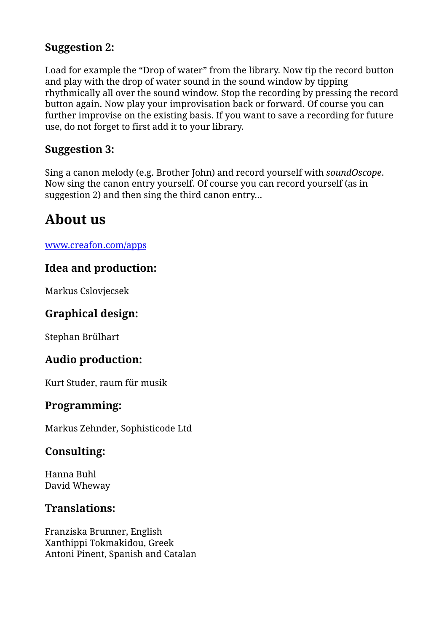#### **Suggestion 2:**

Load for example the "Drop of water" from the library. Now tip the record button and play with the drop of water sound in the sound window by tipping rhythmically all over the sound window. Stop the recording by pressing the record button again. Now play your improvisation back or forward. Of course you can further improvise on the existing basis. If you want to save a recording for future use, do not forget to first add it to your library.

#### **Suggestion 3:**

Sing a canon melody (e.g. Brother John) and record yourself with *soundOscope*. Now sing the canon entry yourself. Of course you can record yourself (as in suggestion 2) and then sing the third canon entry…

## **About us**

www.creafon.com/apps

#### **Idea and production:**

Markus Cslovjecsek

#### **Graphical design:**

Stephan Brülhart

#### **Audio production:**

Kurt Studer, raum für musik

#### **Programming:**

Markus Zehnder, Sophisticode Ltd

#### **Consulting:**

Hanna Buhl David Wheway

#### **Translations:**

Franziska Brunner, English Xanthippi Tokmakidou, Greek Antoni Pinent, Spanish and Catalan